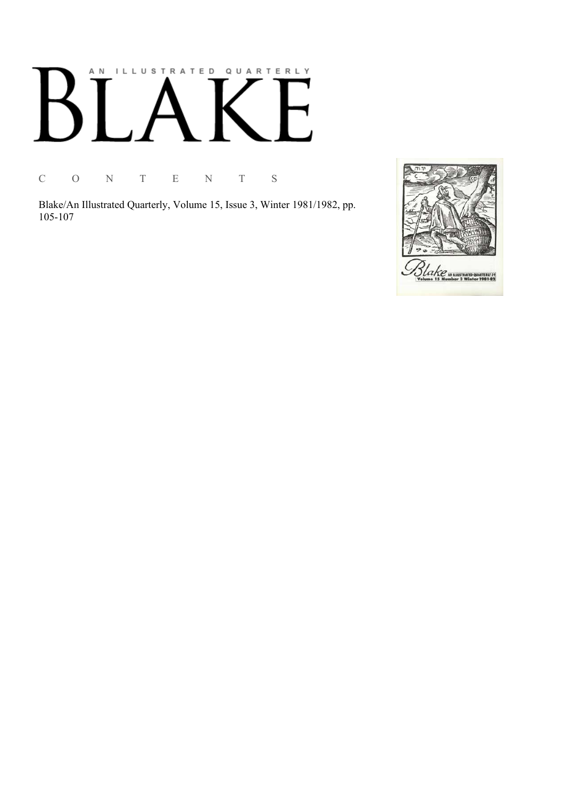# AN ILLUSTRATED QUARTERLY  $\boldsymbol{\mathsf{R}}$

C O N T E N T S

Blake/An Illustrated Quarterly, Volume 15, Issue 3, Winter 1981/1982, pp. 105-107

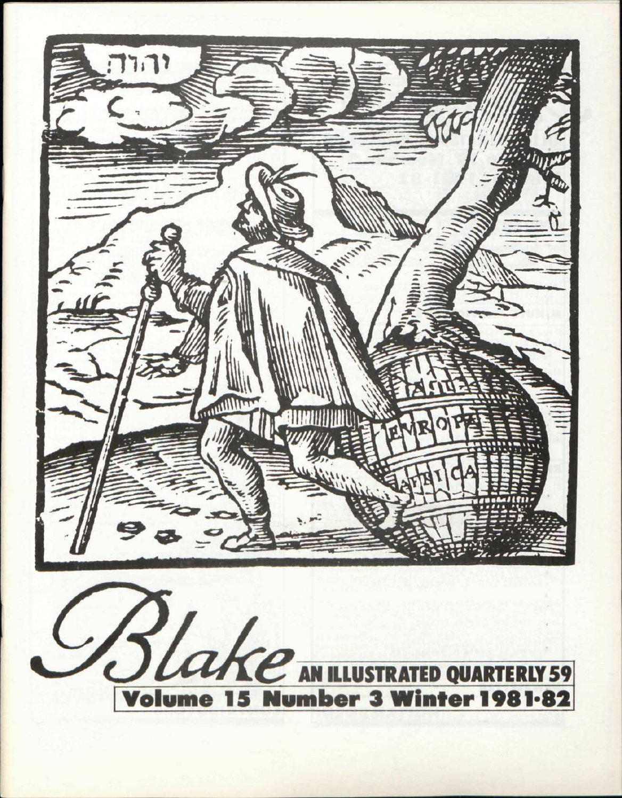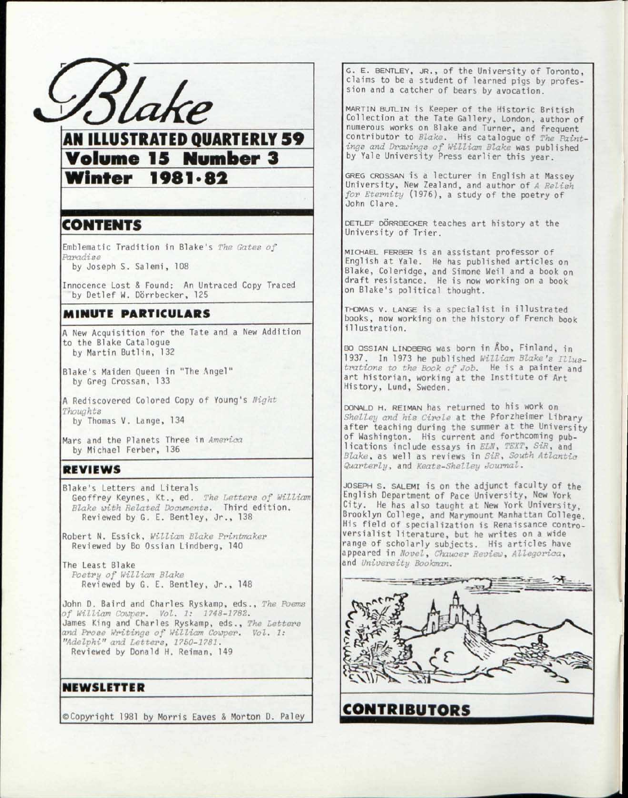

**AN ILLUSTRATED QUARTERLY 59** Volume 15 Number 3 Volume 15 Number 3<br>Winter 1081.82 <u>Winter 1981\*82</u>

## CONTENTS

Emblematic Tradition in Blake's The Gates of *Paradise* 

by Joseph S. Salemi, 108

Innocence Lost & Found: An Untraced Copy Traced by Detlef W. Dörrbecker, 125

### MINUTE PARTICULARS

A New Acquisition for the Tate and a New Addition to the Blake Catalogue by Martin Butlin, 132

Blake's Maiden Queen in "The Angel" by Greg Crossan, 133

A Rediscovered Colored Copy o f Young's *Night Thoughts*  by Thomas V. Lange, 134

Mars and the Planets Three in *America* by Michael Ferber, 136

#### REVIEWS

Blake's Letters and Literals Geoffrey Keynes, Kt., ed. *The Letters of William Blake with Related Documents.* Third edition . Reviewed by G. E. Bentley, Jr. , 138

Robert N. Essick, *William Blake Printmaker*  Reviewed by Bo Ossian Lindberg, 140

The Least Blake *Poetry of William Blake*  Reviewed by G. E. Bentley, Jr., 148

John D. Baird and Charles Ryskamp, eds. , *The Poems of William Cowper. Vol. 1: 1748-1782.*  James King and Charles Ryskamp, eds. , *The Letters and Prose Writings of William Cowper. Vol. 1: "Adelphi" and Letters, 1750-1781.*  Reviewed by Donald H. Reiman, 149

NEWSLETTER

©Copyrigh t 1981 by Morri s Eaves & Morton D. Paley

G. E. BENTLEY, JR., of the University of Toronto, claims to be a student of learned pigs by profession and a catcher of bears by avocation.

MARTIN BUTLIN is Keeper of the Historic British Collection at the Tate Gallery, London, author of numerous works on Blake and Turner, and frequent contributor to *Blake*. His catalogue of *The Paintings and Drawings of William Blake* was published by Yale University Press earlier this year.

GREG CROSSAN is a lecturer in English at Massey University, New Zealand, and author of *A Relish for Eternity* (1976), a study of the poetry of John Clare .

DETLEF DÖRRBECKER teaches art history at the University of Trier.

MICHAEL FERBER is an assistant professor of English at Yale. He has published articles on Blake, Coleridge , and Simone Weil and a book on draft resistance. He is now working on a book on Blake's political thought.

THOMAS V. LANGE is a specialist in illustrated books, now working on the history of French book illustration.

BO OSSIAN LINDBERG was born in Abo, Finland, in 1937. In 1973 he published *William Blake's Illus*trations to the Book of Job. He is a painter and art historian, working at the Institute of Art History, Lund, Sweden.

DONALD H. REIMAN has returned to his work on Shelley and his Circle at the Pforzheimer Library after teaching during the summer at the University of Washington. His current and forthcoming publications include essays in *ELN*, TEXT, SiR, and *Blake*, as well as reviews in SiR, South Atlantic *Quarterly,* and *Keats-Shelley Journal.* 

JOSEPH S. SALEMI is on the adjunct faculty of the English Department of Pace University, New York City. He has also taught at New York University, Brooklyn College, and Marymount Manhattan College. His field of specialization is Renaissance controversialist literature, but he writes on a wide range of scholarly subjects. His articles have appeared in *Novel*, Chaucer Review, Allegorica, and *University Bookman.* 



CONTRIBUTORS